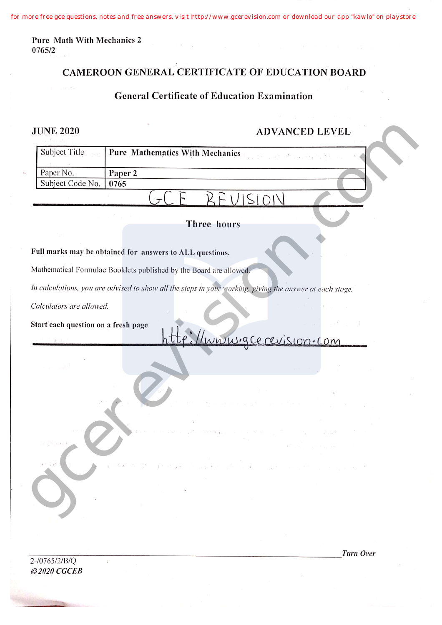**Pure Math With Mechanics 2 0765/2**

# **CAMEROON GENERAL CERTIFICATE OF EDUCATION HOARD**

### **General Certificate of Education Examination**

## **JUNE 2020 ADVANCED LEVEL**

| <b>JUNE 2020</b>                    | <b>ADVANCED LEVEL</b>                                                                                    |
|-------------------------------------|----------------------------------------------------------------------------------------------------------|
| Subject Title<br>$\mu \gtrsim 1$    | Pure Mathematics With Mechanics<br>am 100 mill office social                                             |
| Paper No.                           | Paper 2                                                                                                  |
| Subject Code No.                    | 0765                                                                                                     |
|                                     |                                                                                                          |
|                                     | Three hours                                                                                              |
|                                     | Full marks may be obtained for answers to ALL questions.                                                 |
|                                     | Mathematical Formulae Booklets published by the Board are allowed.                                       |
|                                     | In calculations, you are advised to show all the steps in your working, giving the answer at each stage. |
| Calculators are allowed.            |                                                                                                          |
| Start each question on a fresh page | Unioning ce revision. com                                                                                |
|                                     |                                                                                                          |
|                                     |                                                                                                          |
|                                     |                                                                                                          |
|                                     | Parado de la contigue l'espace a gibble del la participat del calendre del les                           |
|                                     |                                                                                                          |

### **Full marks may be obtained for answers to ALL questions.**

2-/0765/2/B/Q *©2020 CGCEB* *Turn Over*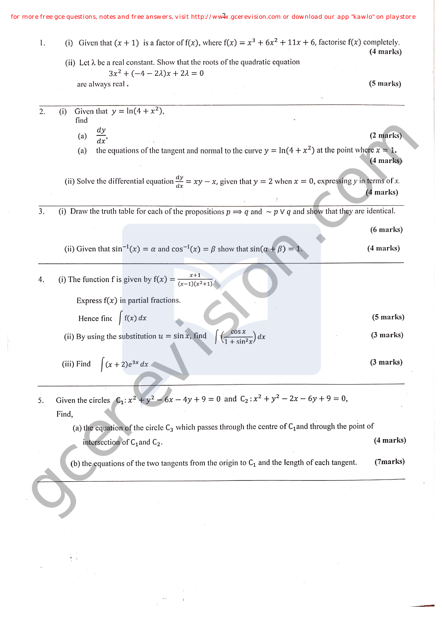*for more free gce questions, notes and free answers, visit http://www.gcerevision.com or download our app "kawlo" on playstore* 2

|                                                                                                                               | $(5 \text{ marks})$ |
|-------------------------------------------------------------------------------------------------------------------------------|---------------------|
|                                                                                                                               |                     |
|                                                                                                                               |                     |
|                                                                                                                               |                     |
|                                                                                                                               |                     |
|                                                                                                                               | (2 marks)           |
| the equations of the tangent and normal to the curve $y = \ln(4 + x^2)$ at the point where $x = 1$ .                          |                     |
|                                                                                                                               | (4 marks)           |
|                                                                                                                               |                     |
| (ii) Solve the differential equation $\frac{dy}{dx} = xy - x$ , given that $y = 2$ when $x = 0$ , expressing y in terms of x. |                     |
|                                                                                                                               | (4 marks)           |
| (i) Draw the truth table for each of the propositions $p \implies q$ and $\sim p \vee q$ and show that they are identical.    |                     |
|                                                                                                                               |                     |
|                                                                                                                               | $(6$ marks $)$      |
|                                                                                                                               | (4 marks)           |
|                                                                                                                               |                     |
|                                                                                                                               |                     |
|                                                                                                                               |                     |
|                                                                                                                               |                     |
|                                                                                                                               |                     |
|                                                                                                                               | $(5$ marks)         |
|                                                                                                                               |                     |
|                                                                                                                               | (3 marks)           |
|                                                                                                                               |                     |
|                                                                                                                               | (3 marks)           |
|                                                                                                                               |                     |
|                                                                                                                               |                     |
| Given the circles $C_1$ : $x^2 + y^2 - 6x - 4y + 9 = 0$ and $C_2$ : $x^2 + y^2 - 2x - 6y + 9 = 0$ ,                           |                     |
|                                                                                                                               |                     |
|                                                                                                                               |                     |
| (a) the equation of the circle $C_3$ which passes through the centre of $C_1$ and through the point of                        |                     |
|                                                                                                                               | (4 marks)           |
|                                                                                                                               |                     |
| (b) the equations of the two tangents from the origin to $C_1$ and the length of each tangent.                                | (7marks)            |
|                                                                                                                               |                     |
|                                                                                                                               |                     |
|                                                                                                                               |                     |
|                                                                                                                               |                     |

 $\bar{r}$  $\bar{t}$ 

 $\sim$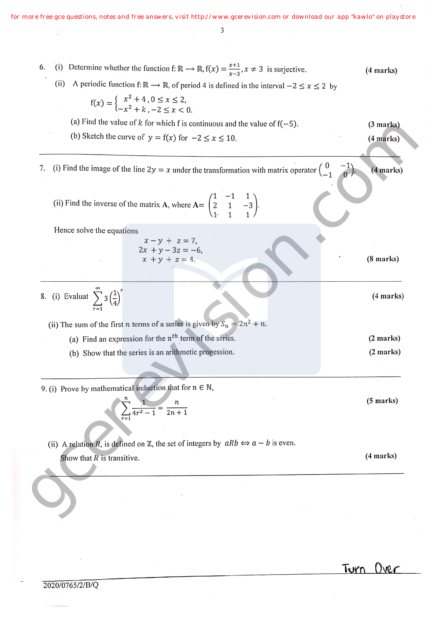*for more free gce questions, notes and free answers, visit http://www.gcerevision.com or download our app "kawlo" on playstore*

 $\overline{\phantom{a}}$ 

| (i) Determine whether the function f: $\mathbb{R} \to \mathbb{R}$ , $f(x) = \frac{x+1}{x-3}$ , $x \neq 3$ is surjective.<br>6.                 | (4 marks)           |
|------------------------------------------------------------------------------------------------------------------------------------------------|---------------------|
| A periodic function f: $\mathbb{R} \to \mathbb{R}$ , of period 4 is defined in the interval $-2 \le x \le 2$ by<br>(ii)                        |                     |
|                                                                                                                                                |                     |
| $f(x) = \begin{cases} x^2 + 4 & 0 \le x \le 2, \\ -x^2 + k & -2 \le x < 0. \end{cases}$                                                        |                     |
| (a) Find the value of k for which f is continuous and the value of $f(-5)$ .                                                                   | (3 marks)           |
| (b) Sketch the curve of $y = f(x)$ for $-2 \le x \le 10$ .                                                                                     | (4 marks)           |
|                                                                                                                                                |                     |
| (i) Find the image of the line $2y = x$ under the transformation with matrix operator $\begin{pmatrix} 0 & -1 \\ -1 & 0 \end{pmatrix}$ .<br>7. | (4 marks)           |
|                                                                                                                                                |                     |
|                                                                                                                                                |                     |
| (ii) Find the inverse of the matrix <b>A</b> , where $A = \begin{pmatrix} 1 & -1 & 1 \\ 2 & 1 & -3 \end{pmatrix}$ .                            |                     |
|                                                                                                                                                |                     |
| Hence solve the equations<br>$x - y + z = 7$ ,                                                                                                 |                     |
| $2x + y - 3z = -6$ ,                                                                                                                           |                     |
| $x + y + z = 4.$                                                                                                                               | $(8 \text{ marks})$ |
|                                                                                                                                                |                     |
| 8. (i) Evaluat $\sum_{1}^{\infty} 3\left(\frac{1}{4}\right)^{r}$                                                                               | (4 marks)           |
|                                                                                                                                                |                     |
| (ii) The sum of the first <i>n</i> terms of a series is given by $S_n = 2n^2 + n$ .                                                            |                     |
| (a) Find an expression for the $n^{th}$ term of the series.                                                                                    | (2 marks)           |
| (b) Show that the series is an arithmetic progession.                                                                                          | (2 marks)           |
|                                                                                                                                                |                     |
|                                                                                                                                                |                     |
| 9. (i) Prove by mathematical induction that for $n \in \mathbb{N}$ ,                                                                           |                     |
|                                                                                                                                                | $(5 \text{ marks})$ |
| $\overline{2n+1}$                                                                                                                              |                     |
|                                                                                                                                                |                     |
| (ii) A relation R, is defined on Z, the set of integers by $aRb \Leftrightarrow a - b$ is even.                                                |                     |
| Show that $R$ is transitive.                                                                                                                   | (4 marks)           |
|                                                                                                                                                |                     |
|                                                                                                                                                |                     |
|                                                                                                                                                |                     |
|                                                                                                                                                |                     |

**fWr**

 $\bar{z}$ 

2020/0765/2/B/Q

 $\bar{z}$